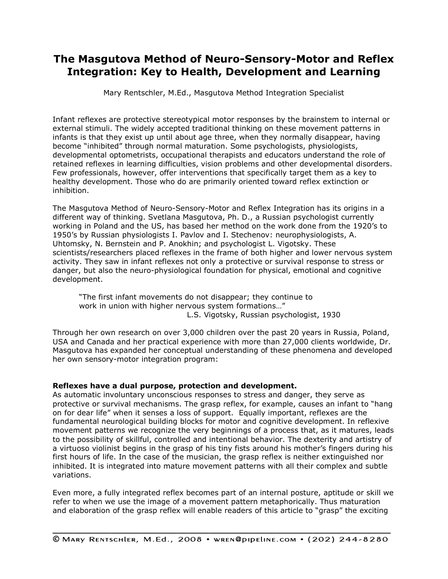# **The Masgutova Method of Neuro-Sensory-Motor and Reflex Integration: Key to Health, Development and Learning**

Mary Rentschler, M.Ed., Masgutova Method Integration Specialist

Infant reflexes are protective stereotypical motor responses by the brainstem to internal or external stimuli. The widely accepted traditional thinking on these movement patterns in infants is that they exist up until about age three, when they normally disappear, having become "inhibited" through normal maturation. Some psychologists, physiologists, developmental optometrists, occupational therapists and educators understand the role of retained reflexes in learning difficulties, vision problems and other developmental disorders. Few professionals, however, offer interventions that specifically target them as a key to healthy development. Those who do are primarily oriented toward reflex extinction or inhibition.

The Masgutova Method of Neuro-Sensory-Motor and Reflex Integration has its origins in a different way of thinking. Svetlana Masgutova, Ph. D., a Russian psychologist currently working in Poland and the US, has based her method on the work done from the 1920's to 1950's by Russian physiologists I. Pavlov and I. Stechenov: neurophysiologists, A. Uhtomsky, N. Bernstein and P. Anokhin; and psychologist L. Vigotsky. These scientists/researchers placed reflexes in the frame of both higher and lower nervous system activity. They saw in infant reflexes not only a protective or survival response to stress or danger, but also the neuro-physiological foundation for physical, emotional and cognitive development.

"The first infant movements do not disappear; they continue to work in union with higher nervous system formations…" L.S. Vigotsky, Russian psychologist, 1930

Through her own research on over 3,000 children over the past 20 years in Russia, Poland, USA and Canada and her practical experience with more than 27,000 clients worldwide, Dr. Masgutova has expanded her conceptual understanding of these phenomena and developed her own sensory-motor integration program:

# **Reflexes have a dual purpose, protection and development.**

As automatic involuntary unconscious responses to stress and danger, they serve as protective or survival mechanisms. The grasp reflex, for example, causes an infant to "hang on for dear life" when it senses a loss of support. Equally important, reflexes are the fundamental neurological building blocks for motor and cognitive development. In reflexive movement patterns we recognize the very beginnings of a process that, as it matures, leads to the possibility of skillful, controlled and intentional behavior. The dexterity and artistry of a virtuoso violinist begins in the grasp of his tiny fists around his mother's fingers during his first hours of life. In the case of the musician, the grasp reflex is neither extinguished nor inhibited. It is integrated into mature movement patterns with all their complex and subtle variations.

Even more, a fully integrated reflex becomes part of an internal posture, aptitude or skill we refer to when we use the image of a movement pattern metaphorically. Thus maturation and elaboration of the grasp reflex will enable readers of this article to "grasp" the exciting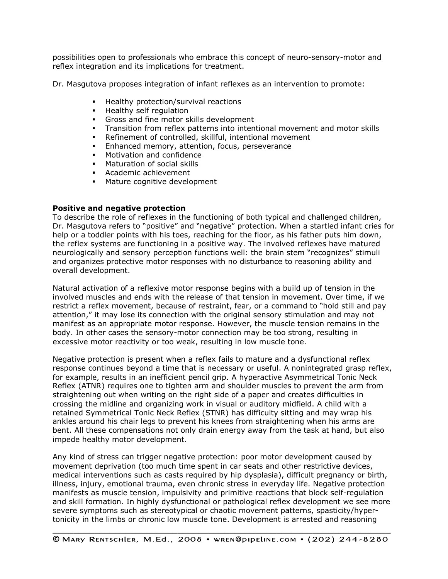possibilities open to professionals who embrace this concept of neuro-sensory-motor and reflex integration and its implications for treatment.

Dr. Masgutova proposes integration of infant reflexes as an intervention to promote:

- **Healthy protection/survival reactions**
- **Healthy self regulation**
- Gross and fine motor skills development
- Transition from reflex patterns into intentional movement and motor skills
- Refinement of controlled, skillful, intentional movement
- **Enhanced memory, attention, focus, perseverance**
- Motivation and confidence
- **Maturation of social skills**
- Academic achievement
- **Mature cognitive development**

#### **Positive and negative protection**

To describe the role of reflexes in the functioning of both typical and challenged children, Dr. Masgutova refers to "positive" and "negative" protection. When a startled infant cries for help or a toddler points with his toes, reaching for the floor, as his father puts him down, the reflex systems are functioning in a positive way. The involved reflexes have matured neurologically and sensory perception functions well: the brain stem "recognizes" stimuli and organizes protective motor responses with no disturbance to reasoning ability and overall development.

Natural activation of a reflexive motor response begins with a build up of tension in the involved muscles and ends with the release of that tension in movement. Over time, if we restrict a reflex movement, because of restraint, fear, or a command to "hold still and pay attention," it may lose its connection with the original sensory stimulation and may not manifest as an appropriate motor response. However, the muscle tension remains in the body. In other cases the sensory-motor connection may be too strong, resulting in excessive motor reactivity or too weak, resulting in low muscle tone.

Negative protection is present when a reflex fails to mature and a dysfunctional reflex response continues beyond a time that is necessary or useful. A nonintegrated grasp reflex, for example, results in an inefficient pencil grip. A hyperactive Asymmetrical Tonic Neck Reflex (ATNR) requires one to tighten arm and shoulder muscles to prevent the arm from straightening out when writing on the right side of a paper and creates difficulties in crossing the midline and organizing work in visual or auditory midfield. A child with a retained Symmetrical Tonic Neck Reflex (STNR) has difficulty sitting and may wrap his ankles around his chair legs to prevent his knees from straightening when his arms are bent. All these compensations not only drain energy away from the task at hand, but also impede healthy motor development.

Any kind of stress can trigger negative protection: poor motor development caused by movement deprivation (too much time spent in car seats and other restrictive devices, medical interventions such as casts required by hip dysplasia), difficult pregnancy or birth, illness, injury, emotional trauma, even chronic stress in everyday life. Negative protection manifests as muscle tension, impulsivity and primitive reactions that block self-regulation and skill formation. In highly dysfunctional or pathological reflex development we see more severe symptoms such as stereotypical or chaotic movement patterns, spasticity/hypertonicity in the limbs or chronic low muscle tone. Development is arrested and reasoning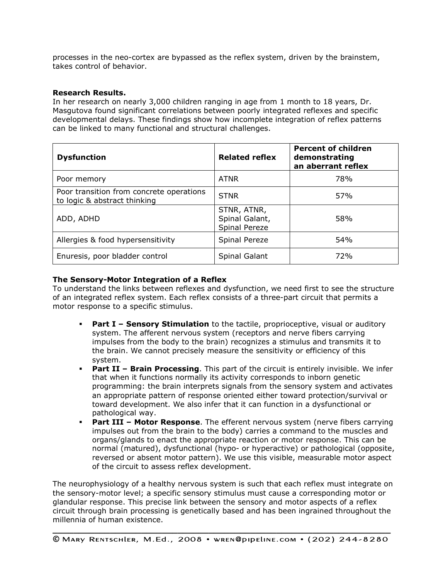processes in the neo-cortex are bypassed as the reflex system, driven by the brainstem, takes control of behavior.

## **Research Results.**

In her research on nearly 3,000 children ranging in age from 1 month to 18 years, Dr. Masgutova found significant correlations between poorly integrated reflexes and specific developmental delays. These findings show how incomplete integration of reflex patterns can be linked to many functional and structural challenges.

| <b>Dysfunction</b>                                                       | <b>Related reflex</b>                          | <b>Percent of children</b><br>demonstrating<br>an aberrant reflex |
|--------------------------------------------------------------------------|------------------------------------------------|-------------------------------------------------------------------|
| Poor memory                                                              | <b>ATNR</b>                                    | <b>78%</b>                                                        |
| Poor transition from concrete operations<br>to logic & abstract thinking | <b>STNR</b>                                    | 57%                                                               |
| ADD, ADHD                                                                | STNR, ATNR,<br>Spinal Galant,<br>Spinal Pereze | 58%                                                               |
| Allergies & food hypersensitivity                                        | Spinal Pereze                                  | 54 <sub>%</sub>                                                   |
| Enuresis, poor bladder control                                           | Spinal Galant                                  | 72%                                                               |

## **The Sensory-Motor Integration of a Reflex**

To understand the links between reflexes and dysfunction, we need first to see the structure of an integrated reflex system. Each reflex consists of a three-part circuit that permits a motor response to a specific stimulus.

- **Part I – Sensory Stimulation** to the tactile, proprioceptive, visual or auditory system. The afferent nervous system (receptors and nerve fibers carrying impulses from the body to the brain) recognizes a stimulus and transmits it to the brain. We cannot precisely measure the sensitivity or efficiency of this system.
- **Part II – Brain Processing**. This part of the circuit is entirely invisible. We infer that when it functions normally its activity corresponds to inborn genetic programming: the brain interprets signals from the sensory system and activates an appropriate pattern of response oriented either toward protection/survival or toward development. We also infer that it can function in a dysfunctional or pathological way.
- **Part III – Motor Response**. The efferent nervous system (nerve fibers carrying impulses out from the brain to the body) carries a command to the muscles and organs/glands to enact the appropriate reaction or motor response. This can be normal (matured), dysfunctional (hypo- or hyperactive) or pathological (opposite, reversed or absent motor pattern). We use this visible, measurable motor aspect of the circuit to assess reflex development.

The neurophysiology of a healthy nervous system is such that each reflex must integrate on the sensory-motor level; a specific sensory stimulus must cause a corresponding motor or glandular response. This precise link between the sensory and motor aspects of a reflex circuit through brain processing is genetically based and has been ingrained throughout the millennia of human existence.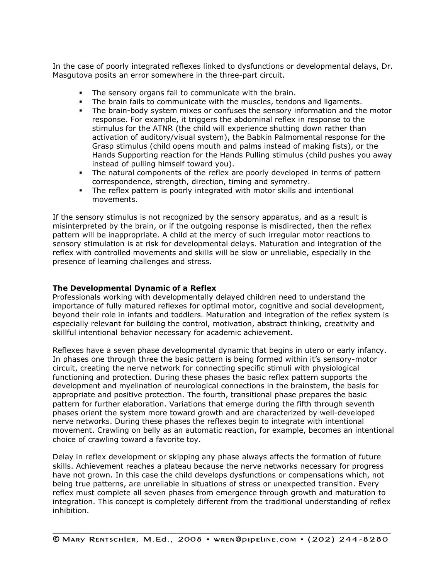In the case of poorly integrated reflexes linked to dysfunctions or developmental delays, Dr. Masgutova posits an error somewhere in the three-part circuit.

- **The sensory organs fail to communicate with the brain.**
- The brain fails to communicate with the muscles, tendons and ligaments.
- The brain-body system mixes or confuses the sensory information and the motor response. For example, it triggers the abdominal reflex in response to the stimulus for the ATNR (the child will experience shutting down rather than activation of auditory/visual system), the Babkin Palmomental response for the Grasp stimulus (child opens mouth and palms instead of making fists), or the Hands Supporting reaction for the Hands Pulling stimulus (child pushes you away instead of pulling himself toward you).
- The natural components of the reflex are poorly developed in terms of pattern correspondence, strength, direction, timing and symmetry.
- The reflex pattern is poorly integrated with motor skills and intentional movements.

If the sensory stimulus is not recognized by the sensory apparatus, and as a result is misinterpreted by the brain, or if the outgoing response is misdirected, then the reflex pattern will be inappropriate. A child at the mercy of such irregular motor reactions to sensory stimulation is at risk for developmental delays. Maturation and integration of the reflex with controlled movements and skills will be slow or unreliable, especially in the presence of learning challenges and stress.

#### **The Developmental Dynamic of a Reflex**

Professionals working with developmentally delayed children need to understand the importance of fully matured reflexes for optimal motor, cognitive and social development, beyond their role in infants and toddlers. Maturation and integration of the reflex system is especially relevant for building the control, motivation, abstract thinking, creativity and skillful intentional behavior necessary for academic achievement.

Reflexes have a seven phase developmental dynamic that begins in utero or early infancy. In phases one through three the basic pattern is being formed within it's sensory-motor circuit, creating the nerve network for connecting specific stimuli with physiological functioning and protection. During these phases the basic reflex pattern supports the development and myelination of neurological connections in the brainstem, the basis for appropriate and positive protection. The fourth, transitional phase prepares the basic pattern for further elaboration. Variations that emerge during the fifth through seventh phases orient the system more toward growth and are characterized by well-developed nerve networks. During these phases the reflexes begin to integrate with intentional movement. Crawling on belly as an automatic reaction, for example, becomes an intentional choice of crawling toward a favorite toy.

Delay in reflex development or skipping any phase always affects the formation of future skills. Achievement reaches a plateau because the nerve networks necessary for progress have not grown. In this case the child develops dysfunctions or compensations which, not being true patterns, are unreliable in situations of stress or unexpected transition. Every reflex must complete all seven phases from emergence through growth and maturation to integration. This concept is completely different from the traditional understanding of reflex inhibition.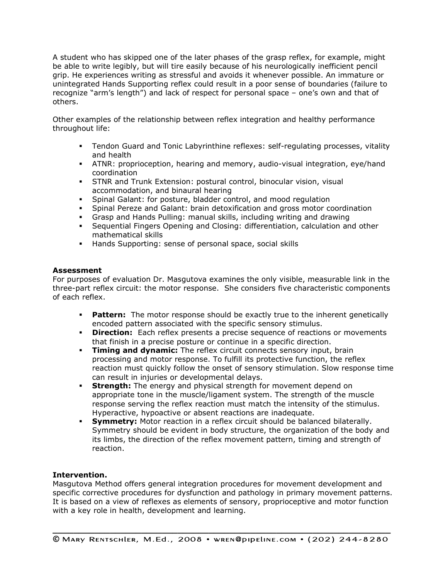A student who has skipped one of the later phases of the grasp reflex, for example, might be able to write legibly, but will tire easily because of his neurologically inefficient pencil grip. He experiences writing as stressful and avoids it whenever possible. An immature or unintegrated Hands Supporting reflex could result in a poor sense of boundaries (failure to recognize "arm's length") and lack of respect for personal space – one's own and that of others.

Other examples of the relationship between reflex integration and healthy performance throughout life:

- Tendon Guard and Tonic Labyrinthine reflexes: self-regulating processes, vitality and health
- ATNR: proprioception, hearing and memory, audio-visual integration, eye/hand coordination
- STNR and Trunk Extension: postural control, binocular vision, visual accommodation, and binaural hearing
- **Spinal Galant: for posture, bladder control, and mood regulation**<br>**Spinal Pereze and Galant: brain detoxification and gross motor continuity**
- Spinal Pereze and Galant: brain detoxification and gross motor coordination
- Grasp and Hands Pulling: manual skills, including writing and drawing
- Sequential Fingers Opening and Closing: differentiation, calculation and other mathematical skills
- Hands Supporting: sense of personal space, social skills

## **Assessment**

For purposes of evaluation Dr. Masgutova examines the only visible, measurable link in the three-part reflex circuit: the motor response. She considers five characteristic components of each reflex.

- **Pattern:** The motor response should be exactly true to the inherent genetically encoded pattern associated with the specific sensory stimulus.
- **Direction:** Each reflex presents a precise sequence of reactions or movements that finish in a precise posture or continue in a specific direction.
- **Timing and dynamic:** The reflex circuit connects sensory input, brain processing and motor response. To fulfill its protective function, the reflex reaction must quickly follow the onset of sensory stimulation. Slow response time can result in injuries or developmental delays.
- **Strength:** The energy and physical strength for movement depend on appropriate tone in the muscle/ligament system. The strength of the muscle response serving the reflex reaction must match the intensity of the stimulus. Hyperactive, hypoactive or absent reactions are inadequate.
- **Symmetry:** Motor reaction in a reflex circuit should be balanced bilaterally. Symmetry should be evident in body structure, the organization of the body and its limbs, the direction of the reflex movement pattern, timing and strength of reaction.

## **Intervention.**

Masgutova Method offers general integration procedures for movement development and specific corrective procedures for dysfunction and pathology in primary movement patterns. It is based on a view of reflexes as elements of sensory, proprioceptive and motor function with a key role in health, development and learning.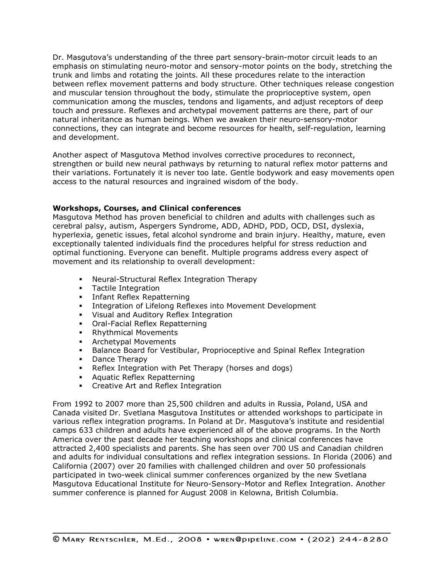Dr. Masgutova's understanding of the three part sensory-brain-motor circuit leads to an emphasis on stimulating neuro-motor and sensory-motor points on the body, stretching the trunk and limbs and rotating the joints. All these procedures relate to the interaction between reflex movement patterns and body structure. Other techniques release congestion and muscular tension throughout the body, stimulate the proprioceptive system, open communication among the muscles, tendons and ligaments, and adjust receptors of deep touch and pressure. Reflexes and archetypal movement patterns are there, part of our natural inheritance as human beings. When we awaken their neuro-sensory-motor connections, they can integrate and become resources for health, self-regulation, learning and development.

Another aspect of Masgutova Method involves corrective procedures to reconnect, strengthen or build new neural pathways by returning to natural reflex motor patterns and their variations. Fortunately it is never too late. Gentle bodywork and easy movements open access to the natural resources and ingrained wisdom of the body.

## **Workshops, Courses, and Clinical conferences**

Masgutova Method has proven beneficial to children and adults with challenges such as cerebral palsy, autism, Aspergers Syndrome, ADD, ADHD, PDD, OCD, DSI, dyslexia, hyperlexia, genetic issues, fetal alcohol syndrome and brain injury. Healthy, mature, even exceptionally talented individuals find the procedures helpful for stress reduction and optimal functioning. Everyone can benefit. Multiple programs address every aspect of movement and its relationship to overall development:

- Neural-Structural Reflex Integration Therapy
- **Tactile Integration**
- **Infant Reflex Repatterning**
- **Integration of Lifelong Reflexes into Movement Development**
- Visual and Auditory Reflex Integration
- Oral-Facial Reflex Repatterning
- **Rhythmical Movements**
- **EXA** Archetypal Movements
- **Balance Board for Vestibular, Proprioceptive and Spinal Reflex Integration**
- Dance Therapy
- Reflex Integration with Pet Therapy (horses and dogs)
- **Aquatic Reflex Repatterning**
- **EXECTE Art and Reflex Integration**

From 1992 to 2007 more than 25,500 children and adults in Russia, Poland, USA and Canada visited Dr. Svetlana Masgutova Institutes or attended workshops to participate in various reflex integration programs. In Poland at Dr. Masgutova's institute and residential camps 633 children and adults have experienced all of the above programs. In the North America over the past decade her teaching workshops and clinical conferences have attracted 2,400 specialists and parents. She has seen over 700 US and Canadian children and adults for individual consultations and reflex integration sessions. In Florida (2006) and California (2007) over 20 families with challenged children and over 50 professionals participated in two-week clinical summer conferences organized by the new Svetlana Masgutova Educational Institute for Neuro-Sensory-Motor and Reflex Integration. Another summer conference is planned for August 2008 in Kelowna, British Columbia.